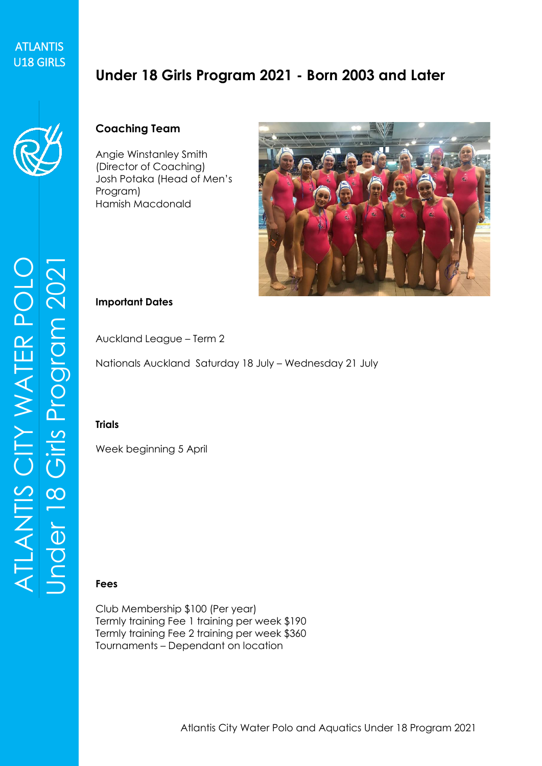# **ATLANTIS** ATLANTIS<br>U18 GIRLS

# **Under 18 Girls Program 2021 - Born 2003 and Later**



### **Coaching Team**

Angie Winstanley Smith (Director of Coaching) Josh Potaka (Head of Men's Program) Hamish Macdonald



#### **Important Dates**

Auckland League – Term 2

Nationals Auckland Saturday 18 July – Wednesday 21 July

#### **Trials**

Week beginning 5 April

#### **Fees**

Club Membership \$100 (Per year) Termly training Fee 1 training per week \$190 Termly training Fee 2 training per week \$360 Tournaments – Dependant on location

ATLANTIS CITY WATER POLO Under 14 Girls Prog ram 2021 ATLANTIS CITY WATER POLO<br>Under 18 Girls Program 2021 ATLANTIS CITY WATER POLO<br>Under 18 Girls Program 2021 8 Girls Prog ram 2021